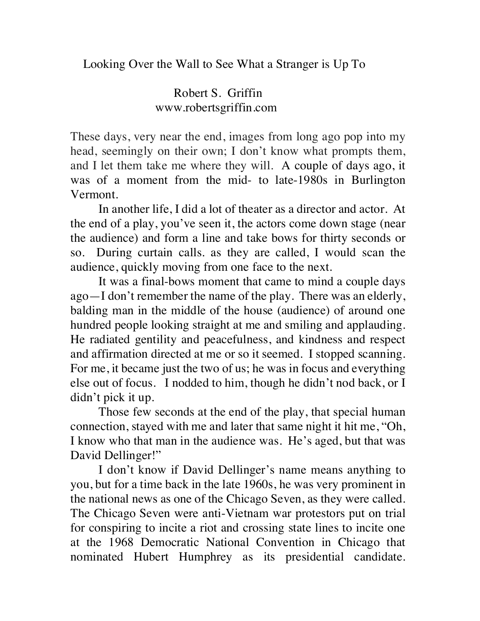## Looking Over the Wall to See What a Stranger is Up To

## Robert S. Griffin www.robertsgriffin.com

These days, very near the end, images from long ago pop into my head, seemingly on their own; I don't know what prompts them, and I let them take me where they will. A couple of days ago, it was of a moment from the mid- to late-1980s in Burlington Vermont.

In another life, I did a lot of theater as a director and actor. At the end of a play, you've seen it, the actors come down stage (near the audience) and form a line and take bows for thirty seconds or so. During curtain calls. as they are called, I would scan the audience, quickly moving from one face to the next.

It was a final-bows moment that came to mind a couple days ago—I don't remember the name of the play. There was an elderly, balding man in the middle of the house (audience) of around one hundred people looking straight at me and smiling and applauding. He radiated gentility and peacefulness, and kindness and respect and affirmation directed at me or so it seemed. I stopped scanning. For me, it became just the two of us; he was in focus and everything else out of focus. I nodded to him, though he didn't nod back, or I didn't pick it up.

Those few seconds at the end of the play, that special human connection, stayed with me and later that same night it hit me, "Oh, I know who that man in the audience was. He's aged, but that was David Dellinger!"

I don't know if David Dellinger's name means anything to you, but for a time back in the late 1960s, he was very prominent in the national news as one of the Chicago Seven, as they were called. The Chicago Seven were anti-Vietnam war protestors put on trial for conspiring to incite a riot and crossing state lines to incite one at the 1968 Democratic National Convention in Chicago that nominated Hubert Humphrey as its presidential candidate.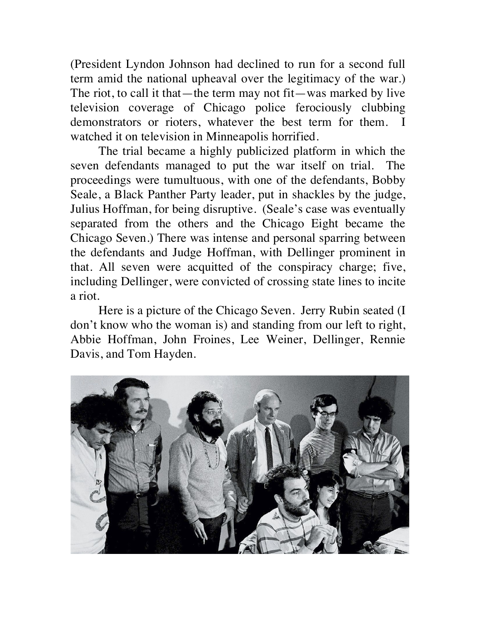(President Lyndon Johnson had declined to run for a second full term amid the national upheaval over the legitimacy of the war.) The riot, to call it that—the term may not fit—was marked by live television coverage of Chicago police ferociously clubbing demonstrators or rioters, whatever the best term for them. I watched it on television in Minneapolis horrified.

The trial became a highly publicized platform in which the seven defendants managed to put the war itself on trial. The proceedings were tumultuous, with one of the defendants, Bobby Seale, a Black Panther Party leader, put in shackles by the judge, Julius Hoffman, for being disruptive. (Seale's case was eventually separated from the others and the Chicago Eight became the Chicago Seven.) There was intense and personal sparring between the defendants and Judge Hoffman, with Dellinger prominent in that. All seven were acquitted of the conspiracy charge; five, including Dellinger, were convicted of crossing state lines to incite a riot.

Here is a picture of the Chicago Seven. Jerry Rubin seated (I don't know who the woman is) and standing from our left to right, Abbie Hoffman, John Froines, Lee Weiner, Dellinger, Rennie Davis, and Tom Hayden.

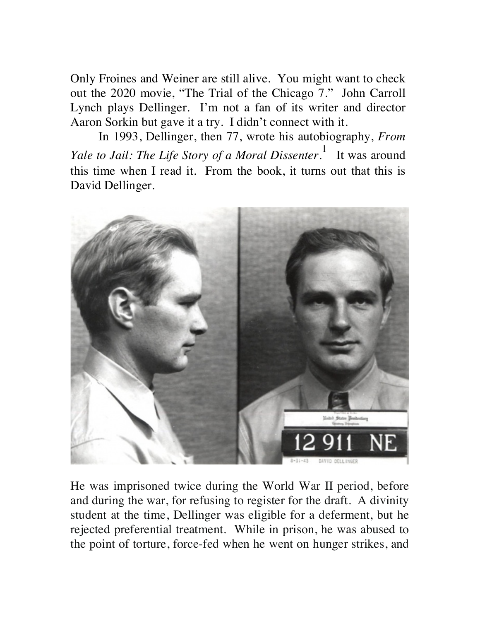Only Froines and Weiner are still alive. You might want to check out the 2020 movie, "The Trial of the Chicago 7." John Carroll Lynch plays Dellinger. I'm not a fan of its writer and director Aaron Sorkin but gave it a try. I didn't connect with it.

In 1993, Dellinger, then 77, wrote his autobiography, *From Yale to Jail: The Life Story of a Moral Dissenter.*<sup>1</sup> It was around this time when I read it. From the book, it turns out that this is David Dellinger.



He was imprisoned twice during the World War II period, before and during the war, for refusing to register for the draft. A divinity student at the time, Dellinger was eligible for a deferment, but he rejected preferential treatment. While in prison, he was abused to the point of torture, force-fed when he went on hunger strikes, and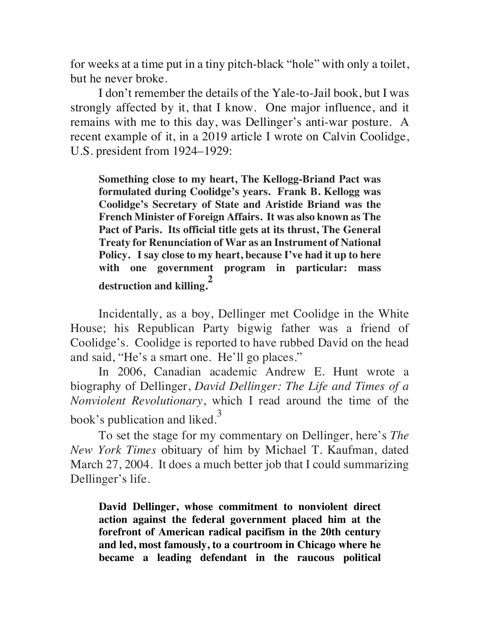for weeks at a time put in a tiny pitch-black "hole" with only a toilet, but he never broke.

I don't remember the details of the Yale-to-Jail book, but I was strongly affected by it, that I know. One major influence, and it remains with me to this day, was Dellinger's anti-war posture. A recent example of it, in a 2019 article I wrote on Calvin Coolidge, U.S. president from 1924–1929:

**Something close to my heart, The Kellogg-Briand Pact was formulated during Coolidge's years. Frank B. Kellogg was Coolidge's Secretary of State and Aristide Briand was the French Minister of Foreign Affairs. It was also known as The Pact of Paris. Its official title gets at its thrust, The General Treaty for Renunciation of War as an Instrument of National Policy. I say close to my heart, because I've had it up to here with one government program in particular: mass destruction and killing.<sup>2</sup>**

Incidentally, as a boy, Dellinger met Coolidge in the White House; his Republican Party bigwig father was a friend of Coolidge's. Coolidge is reported to have rubbed David on the head and said, "He's a smart one. He'll go places."

In 2006, Canadian academic Andrew E. Hunt wrote a biography of Dellinger, *David Dellinger: The Life and Times of a Nonviolent Revolutionary*, which I read around the time of the book's publication and liked.<sup>3</sup>

To set the stage for my commentary on Dellinger, here's *The New York Times* obituary of him by Michael T. Kaufman, dated March 27, 2004. It does a much better job that I could summarizing Dellinger's life.

**David Dellinger, whose commitment to nonviolent direct action against the federal government placed him at the forefront of American radical pacifism in the 20th century and led, most famously, to a courtroom in Chicago where he became a leading defendant in the raucous political**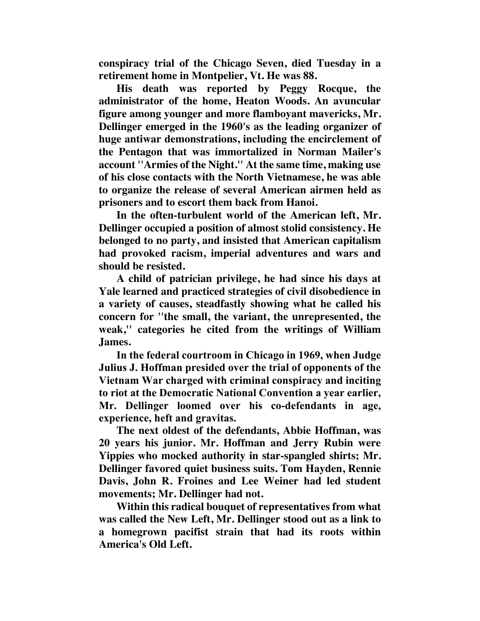**conspiracy trial of the Chicago Seven, died Tuesday in a retirement home in Montpelier, Vt. He was 88.**

**His death was reported by Peggy Rocque, the administrator of the home, Heaton Woods. An avuncular figure among younger and more flamboyant mavericks, Mr. Dellinger emerged in the 1960's as the leading organizer of huge antiwar demonstrations, including the encirclement of the Pentagon that was immortalized in Norman Mailer's account ''Armies of the Night.'' At the same time, making use of his close contacts with the North Vietnamese, he was able to organize the release of several American airmen held as prisoners and to escort them back from Hanoi.**

**In the often-turbulent world of the American left, Mr. Dellinger occupied a position of almost stolid consistency. He belonged to no party, and insisted that American capitalism had provoked racism, imperial adventures and wars and should be resisted.**

**A child of patrician privilege, he had since his days at Yale learned and practiced strategies of civil disobedience in a variety of causes, steadfastly showing what he called his concern for ''the small, the variant, the unrepresented, the weak,'' categories he cited from the writings of William James.**

**In the federal courtroom in Chicago in 1969, when Judge Julius J. Hoffman presided over the trial of opponents of the Vietnam War charged with criminal conspiracy and inciting to riot at the Democratic National Convention a year earlier, Mr. Dellinger loomed over his co-defendants in age, experience, heft and gravitas.**

**The next oldest of the defendants, Abbie Hoffman, was 20 years his junior. Mr. Hoffman and Jerry Rubin were Yippies who mocked authority in star-spangled shirts; Mr. Dellinger favored quiet business suits. Tom Hayden, Rennie Davis, John R. Froines and Lee Weiner had led student movements; Mr. Dellinger had not.**

**Within this radical bouquet of representatives from what was called the New Left, Mr. Dellinger stood out as a link to a homegrown pacifist strain that had its roots within America's Old Left.**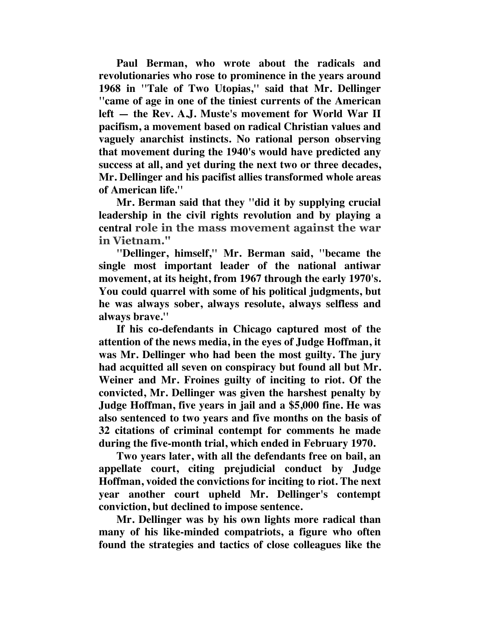**Paul Berman, who wrote about the radicals and revolutionaries who rose to prominence in the years around 1968 in ''Tale of Two Utopias,'' said that Mr. Dellinger ''came of age in one of the tiniest currents of the American left — the Rev. A.J. Muste's movement for World War II pacifism, a movement based on radical Christian values and vaguely anarchist instincts. No rational person observing that movement during the 1940's would have predicted any success at all, and yet during the next two or three decades, Mr. Dellinger and his pacifist allies transformed whole areas of American life.''**

**Mr. Berman said that they ''did it by supplying crucial leadership in the civil rights revolution and by playing a central role in the mass movement against the war in Vietnam.''**

**''Dellinger, himself,'' Mr. Berman said, ''became the single most important leader of the national antiwar movement, at its height, from 1967 through the early 1970's. You could quarrel with some of his political judgments, but he was always sober, always resolute, always selfless and always brave.''**

**If his co-defendants in Chicago captured most of the attention of the news media, in the eyes of Judge Hoffman, it was Mr. Dellinger who had been the most guilty. The jury had acquitted all seven on conspiracy but found all but Mr. Weiner and Mr. Froines guilty of inciting to riot. Of the convicted, Mr. Dellinger was given the harshest penalty by Judge Hoffman, five years in jail and a \$5,000 fine. He was also sentenced to two years and five months on the basis of 32 citations of criminal contempt for comments he made during the five-month trial, which ended in February 1970.**

**Two years later, with all the defendants free on bail, an appellate court, citing prejudicial conduct by Judge Hoffman, voided the convictions for inciting to riot. The next year another court upheld Mr. Dellinger's contempt conviction, but declined to impose sentence.**

**Mr. Dellinger was by his own lights more radical than many of his like-minded compatriots, a figure who often found the strategies and tactics of close colleagues like the**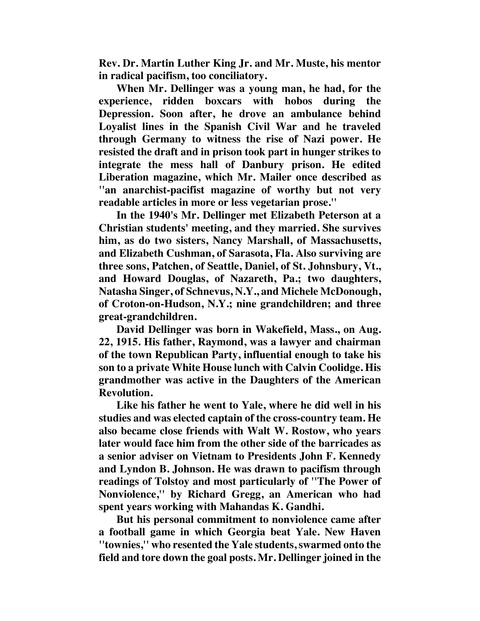**Rev. Dr. Martin Luther King Jr. and Mr. Muste, his mentor in radical pacifism, too conciliatory.**

**When Mr. Dellinger was a young man, he had, for the experience, ridden boxcars with hobos during the Depression. Soon after, he drove an ambulance behind Loyalist lines in the Spanish Civil War and he traveled through Germany to witness the rise of Nazi power. He resisted the draft and in prison took part in hunger strikes to integrate the mess hall of Danbury prison. He edited Liberation magazine, which Mr. Mailer once described as ''an anarchist-pacifist magazine of worthy but not very readable articles in more or less vegetarian prose.''**

**In the 1940's Mr. Dellinger met Elizabeth Peterson at a Christian students' meeting, and they married. She survives him, as do two sisters, Nancy Marshall, of Massachusetts, and Elizabeth Cushman, of Sarasota, Fla. Also surviving are three sons, Patchen, of Seattle, Daniel, of St. Johnsbury, Vt., and Howard Douglas, of Nazareth, Pa.; two daughters, Natasha Singer, of Schnevus, N.Y., and Michele McDonough, of Croton-on-Hudson, N.Y.; nine grandchildren; and three great-grandchildren.**

**David Dellinger was born in Wakefield, Mass., on Aug. 22, 1915. His father, Raymond, was a lawyer and chairman of the town Republican Party, influential enough to take his son to a private White House lunch with Calvin Coolidge. His grandmother was active in the Daughters of the American Revolution.**

**Like his father he went to Yale, where he did well in his studies and was elected captain of the cross-country team. He also became close friends with Walt W. Rostow, who years later would face him from the other side of the barricades as a senior adviser on Vietnam to Presidents John F. Kennedy and Lyndon B. Johnson. He was drawn to pacifism through readings of Tolstoy and most particularly of ''The Power of Nonviolence,'' by Richard Gregg, an American who had spent years working with Mahandas K. Gandhi.**

**But his personal commitment to nonviolence came after a football game in which Georgia beat Yale. New Haven ''townies,'' who resented the Yale students, swarmed onto the field and tore down the goal posts. Mr. Dellinger joined in the**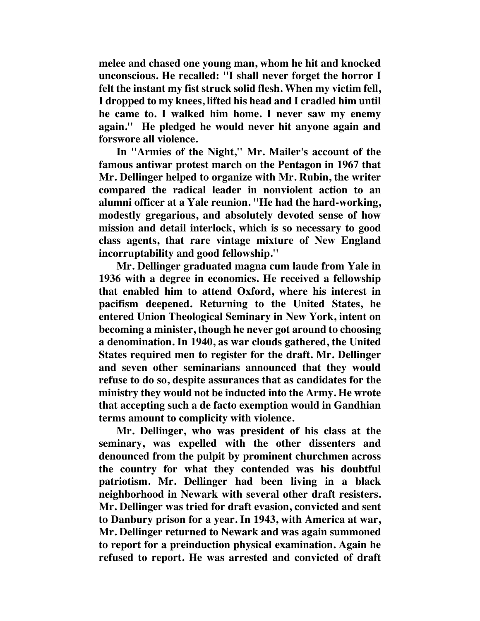**melee and chased one young man, whom he hit and knocked unconscious. He recalled: ''I shall never forget the horror I felt the instant my fist struck solid flesh. When my victim fell, I dropped to my knees, lifted his head and I cradled him until he came to. I walked him home. I never saw my enemy again.'' He pledged he would never hit anyone again and forswore all violence.**

**In ''Armies of the Night,'' Mr. Mailer's account of the famous antiwar protest march on the Pentagon in 1967 that Mr. Dellinger helped to organize with Mr. Rubin, the writer compared the radical leader in nonviolent action to an alumni officer at a Yale reunion. ''He had the hard-working, modestly gregarious, and absolutely devoted sense of how mission and detail interlock, which is so necessary to good class agents, that rare vintage mixture of New England incorruptability and good fellowship.''**

**Mr. Dellinger graduated magna cum laude from Yale in 1936 with a degree in economics. He received a fellowship that enabled him to attend Oxford, where his interest in pacifism deepened. Returning to the United States, he entered Union Theological Seminary in New York, intent on becoming a minister, though he never got around to choosing a denomination. In 1940, as war clouds gathered, the United States required men to register for the draft. Mr. Dellinger and seven other seminarians announced that they would refuse to do so, despite assurances that as candidates for the ministry they would not be inducted into the Army. He wrote that accepting such a de facto exemption would in Gandhian terms amount to complicity with violence.**

**Mr. Dellinger, who was president of his class at the seminary, was expelled with the other dissenters and denounced from the pulpit by prominent churchmen across the country for what they contended was his doubtful patriotism. Mr. Dellinger had been living in a black neighborhood in Newark with several other draft resisters. Mr. Dellinger was tried for draft evasion, convicted and sent to Danbury prison for a year. In 1943, with America at war, Mr. Dellinger returned to Newark and was again summoned to report for a preinduction physical examination. Again he refused to report. He was arrested and convicted of draft**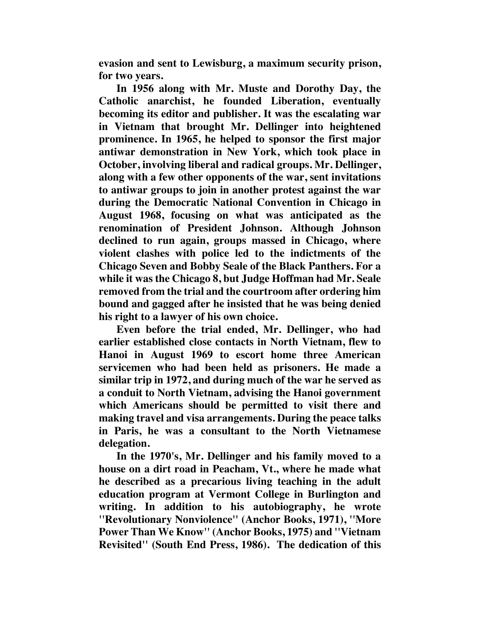**evasion and sent to Lewisburg, a maximum security prison, for two years.**

**In 1956 along with Mr. Muste and Dorothy Day, the Catholic anarchist, he founded Liberation, eventually becoming its editor and publisher. It was the escalating war in Vietnam that brought Mr. Dellinger into heightened prominence. In 1965, he helped to sponsor the first major antiwar demonstration in New York, which took place in October, involving liberal and radical groups. Mr. Dellinger, along with a few other opponents of the war, sent invitations to antiwar groups to join in another protest against the war during the Democratic National Convention in Chicago in August 1968, focusing on what was anticipated as the renomination of President Johnson. Although Johnson declined to run again, groups massed in Chicago, where violent clashes with police led to the indictments of the Chicago Seven and Bobby Seale of the Black Panthers. For a while it was the Chicago 8, but Judge Hoffman had Mr. Seale removed from the trial and the courtroom after ordering him bound and gagged after he insisted that he was being denied his right to a lawyer of his own choice.**

**Even before the trial ended, Mr. Dellinger, who had earlier established close contacts in North Vietnam, flew to Hanoi in August 1969 to escort home three American servicemen who had been held as prisoners. He made a similar trip in 1972, and during much of the war he served as a conduit to North Vietnam, advising the Hanoi government which Americans should be permitted to visit there and making travel and visa arrangements. During the peace talks in Paris, he was a consultant to the North Vietnamese delegation.**

**In the 1970's, Mr. Dellinger and his family moved to a house on a dirt road in Peacham, Vt., where he made what he described as a precarious living teaching in the adult education program at Vermont College in Burlington and writing. In addition to his autobiography, he wrote ''Revolutionary Nonviolence'' (Anchor Books, 1971), ''More Power Than We Know'' (Anchor Books, 1975) and ''Vietnam Revisited'' (South End Press, 1986). The dedication of this**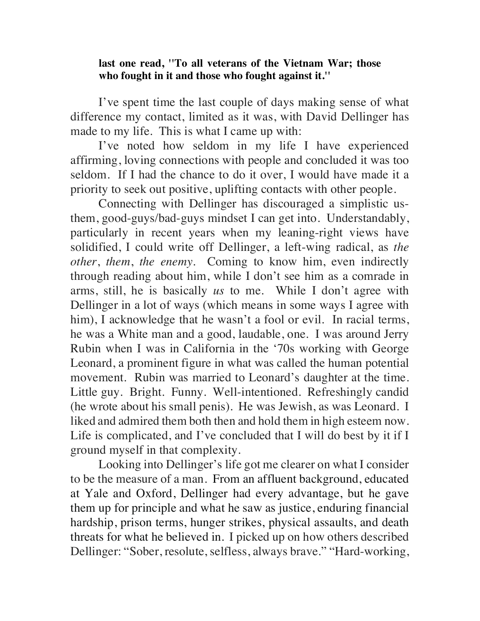## **last one read, ''To all veterans of the Vietnam War; those who fought in it and those who fought against it.''**

I've spent time the last couple of days making sense of what difference my contact, limited as it was, with David Dellinger has made to my life. This is what I came up with:

I've noted how seldom in my life I have experienced affirming, loving connections with people and concluded it was too seldom. If I had the chance to do it over, I would have made it a priority to seek out positive, uplifting contacts with other people.

Connecting with Dellinger has discouraged a simplistic usthem, good-guys/bad-guys mindset I can get into. Understandably, particularly in recent years when my leaning-right views have solidified, I could write off Dellinger, a left-wing radical, as *the other*, *them*, *the enemy*. Coming to know him, even indirectly through reading about him, while I don't see him as a comrade in arms, still, he is basically *us* to me. While I don't agree with Dellinger in a lot of ways (which means in some ways I agree with him), I acknowledge that he wasn't a fool or evil. In racial terms, he was a White man and a good, laudable, one. I was around Jerry Rubin when I was in California in the '70s working with George Leonard, a prominent figure in what was called the human potential movement. Rubin was married to Leonard's daughter at the time. Little guy. Bright. Funny. Well-intentioned. Refreshingly candid (he wrote about his small penis). He was Jewish, as was Leonard. I liked and admired them both then and hold them in high esteem now. Life is complicated, and I've concluded that I will do best by it if I ground myself in that complexity.

Looking into Dellinger's life got me clearer on what I consider to be the measure of a man. From an affluent background, educated at Yale and Oxford, Dellinger had every advantage, but he gave them up for principle and what he saw as justice, enduring financial hardship, prison terms, hunger strikes, physical assaults, and death threats for what he believed in. I picked up on how others described Dellinger: "Sober, resolute, selfless, always brave." "Hard-working,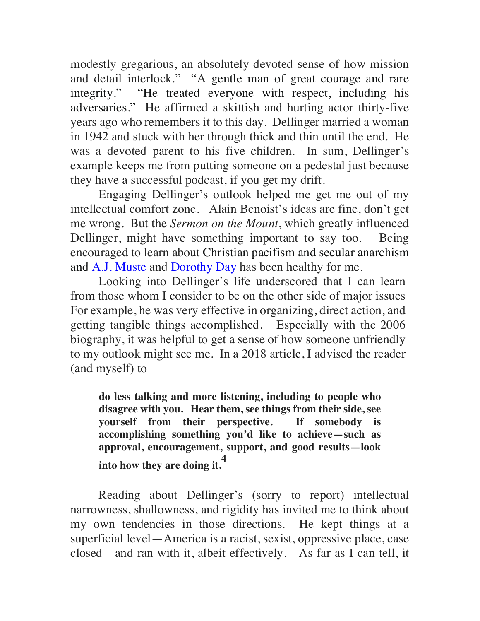modestly gregarious, an absolutely devoted sense of how mission and detail interlock." "A gentle man of great courage and rare integrity." "He treated everyone with respect, including his adversaries." He affirmed a skittish and hurting actor thirty-five years ago who remembers it to this day. Dellinger married a woman in 1942 and stuck with her through thick and thin until the end. He was a devoted parent to his five children. In sum, Dellinger's example keeps me from putting someone on a pedestal just because they have a successful podcast, if you get my drift.

Engaging Dellinger's outlook helped me get me out of my intellectual comfort zone. Alain Benoist's ideas are fine, don't get me wrong. But the *Sermon on the Mount*, which greatly influenced Dellinger, might have something important to say too. Being encouraged to learn about Christian pacifism and secular anarchism and A.J. Muste and Dorothy Day has been healthy for me.

Looking into Dellinger's life underscored that I can learn from those whom I consider to be on the other side of major issues For example, he was very effective in organizing, direct action, and getting tangible things accomplished. Especially with the 2006 biography, it was helpful to get a sense of how someone unfriendly to my outlook might see me. In a 2018 article, I advised the reader (and myself) to

**do less talking and more listening, including to people who disagree with you. Hear them, see things from their side, see yourself from their perspective. If somebody is accomplishing something you'd like to achieve—such as approval, encouragement, support, and good results—look into how they are doing it.** 

Reading about Dellinger's (sorry to report) intellectual narrowness, shallowness, and rigidity has invited me to think about my own tendencies in those directions. He kept things at a superficial level—America is a racist, sexist, oppressive place, case closed—and ran with it, albeit effectively. As far as I can tell, it